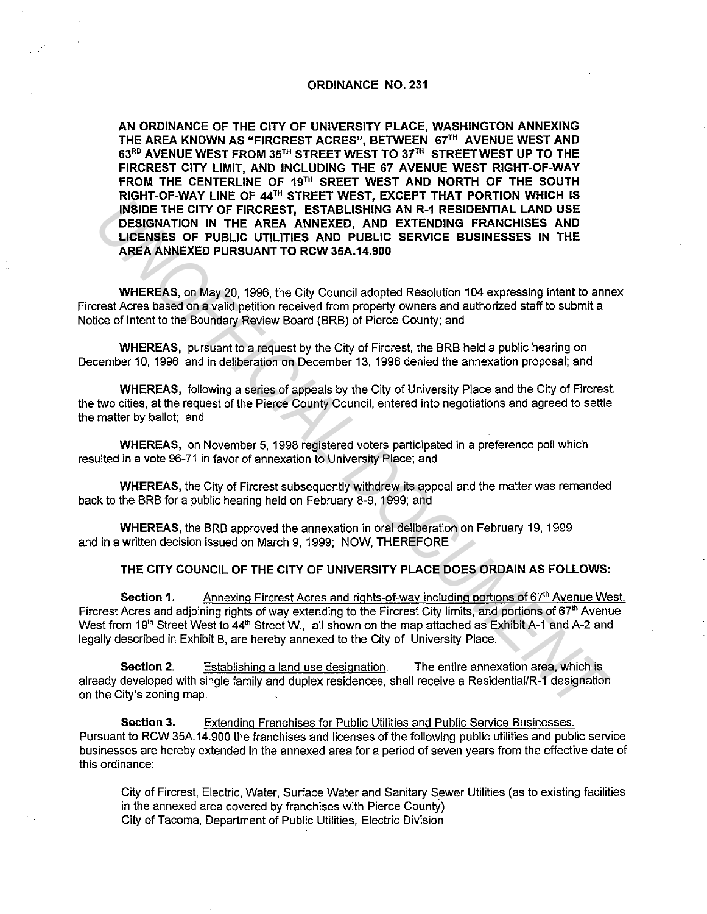### ORDINANCE NO. 231

AN ORDINANCE OF THE CITY OF UNIVERSITY PLACE, WASHINGTON ANNEXING THE AREA KNOWN AS "FIRCREST ACRES", BETWEEN 67'" AVENUE WEST AND 63RD AVENUE WEST FROM 35TH STREET WEST TO 37TH STREET WEST UP TO THE FIRCREST CITY LIMIT, AND INCLUDING THE 67 AVENUE WEST RIGHT-OF-WAY FROM THE CENTERLINE OF 19<sup>th</sup> SREET WEST AND NORTH OF THE SOUTH RIGHT-OF-WAY LINE OF 44TH STREET WEST, EXCEPT THAT PORTION WHICH IS INSIDE THE CITY OF FIRCREST, ESTABLISHING AN R-1 RESIDENTIAL LAND USE DESIGNATION IN THE AREA ANNEXED, AND EXTENDING FRANCHISES AND LICENSES OF PUBLIC UTILITIES AND PUBLIC SERVICE BUSINESSES IN THE AREA ANNEXED PURSUANT TO RCW 35A.14.900 **UNIFIC THE CITY OF FIRGREST, ESTABLISHING ANDR THESTIFY INTO USE THE CITY OF FIRGREST, ESTABLISHING ANDR THESTIFY INTO SECTEMBLE INTO THE AREA ANNEXED PURSUANT TO RGW 35A.14.500<br>
INCREMENTION INTER AREA ANNEXED, AND EXTEN** 

WHEREAS, on May 20, 1996, the City Council adopted Resolution 104 expressing intent to annex Fircrest Acres based on a valid petition received from property owners and authorized staff to submit a Notice of Intent to the Boundary Review Board (BRB) of Pierce County; and

WHEREAS, pursuant to a request by the City of Fircrest, the BRB held a public hearing on December 10, 1996 and in deliberation on December 13, 1996 denied the annexation proposal; and

WHEREAS, following a series of appeals by the City of University Place and the City of Fircrest, the two cities, at the request of the Pierce County Council, entered into negotiations and agreed to settle the matter by ballot; and

WHEREAS, on November 5, 1998 registered voters participated in a preference poll which resulted in a vote 96-71 in favor of annexation to University Place; and

WHEREAS, the City of Fircrest subsequently withdrew its appeal and the matter was remanded back to the BRB for a public hearing held on February 8-9, 1999; and

WHEREAS, the BRB approved the annexation in oral deliberation on February 19, 1999 and in a written decision issued on March 9, 1999; NOW, THEREFORE

### THE CITY COUNCIL OF THE CITY OF UNIVERSITY PLACE DOES ORDAIN AS FOLLOWS:

Section 1. Annexing Fircrest Acres and rights-of-way including portions of 67<sup>th</sup> Avenue West. Fircrest Acres and adjoining rights of way extending to the Fircrest City limits, and portions of 67<sup>th</sup> Avenue West from 19<sup>th</sup> Street West to 44<sup>th</sup> Street W., all shown on the map attached as Exhibit A-1 and A-2 and legally described in Exhibit B, are hereby annexed to the City of University Place.

Section 2. Establishing a land use designation. The entire annexation area, which is already developed with single family and duplex residences, shall receive a Residential/R-1 designation on the City's zoning map.

Section 3. Extending Franchises for Public Utilities and Public Service Businesses. Pursuant to RCW 35A.14.900 the franchises and licenses of the following public utilities and public service businesses are hereby extended in the annexed area for a period of seven years from the effective date of this ordinance:

City of Fircrest, Electric, Water, Surface Water and Sanitary Sewer Utilities (as to existing facilities in the annexed area covered by franchises with Pierce County) City of Tacoma, Department of Public Utilities, Electric Division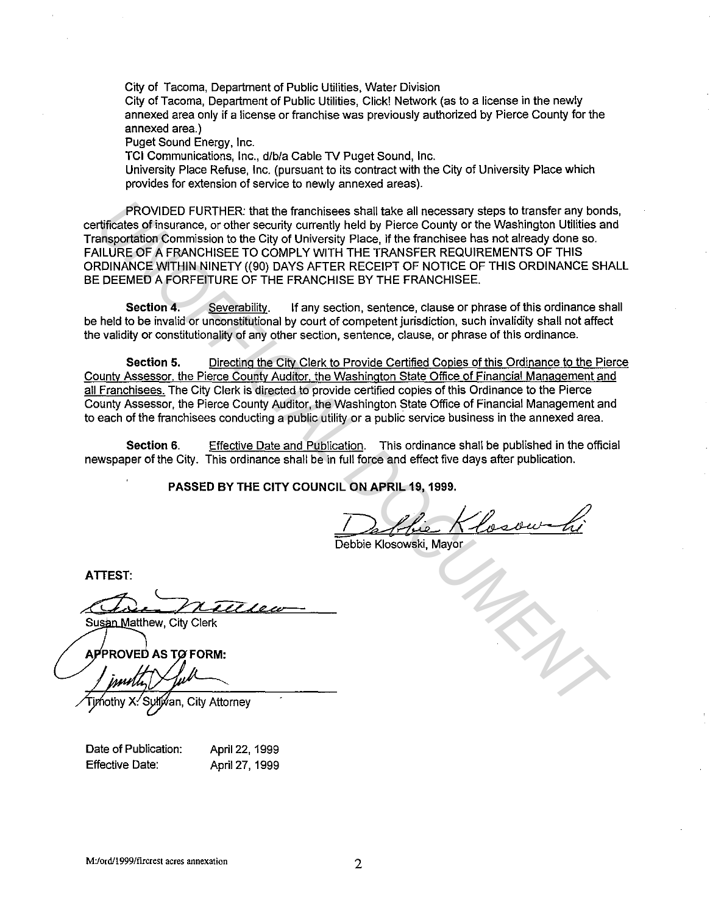City of Tacoma, Department of Public Utilities, Water Division

City of Tacoma, Department of Public Utilities, Click! Network (as to a license in the newly annexed area only if a license or franchise was previously authorized by Pierce County for the annexed area.)

Puget Sound Energy, Inc.

TCI Communications, Inc., d/b/a Cable TV Puget Sound, Inc.

University Place Refuse, Inc. (pursuant to its contract with the City of University Place which provides for extension of service to newly annexed areas).

PROVIDED FURTHER: that the franchisees shall take all necessary steps to transfer any bonds, certificates of insurance, or other security currently held by Pierce County or the Washington Utilities and Transportation Commission to the City of University Place, if the franchisee has not already done so. FAILURE OF A FRANCHISEE TO COMPLY WITH THE TRANSFER REQUIREMENTS OF THIS ORDINANCE WITHIN NINETY ((90) DAYS AFTER RECEIPT OF NOTICE OF THIS ORDINANCE SHALL BE DEEMED A FORFEITURE OF THE FRANCHISE BY THE FRANCHISEE. **PROVIDED FURTHER:** that the franchisees shall take all necessary steps to transfer any bond<br>
diffusces of insurance, or other security unrentity held by Pierce County of the Washington Utilities and<br>
subMANCE WITH AND FIG

Section 4. Severability. If any section, sentence, clause or phrase of this ordinance shall be held to be invalid or unconstitutional by court of competent jurisdiction, such invalidity shall not affect the validity or constitutionality of any other section, sentence, clause, or phrase of this ordinance.

Section 5. Directing the Citv Clerk to Provide Certified Copies of this Ordinance to the Pierce Countv Assessor, the Pierce County Auditor, the Washington State Office of Financial Management and all Franchisees. The City Clerk is directed to provide certified copies of this Ordinance to the Pierce County Assessor, the Pierce County Auditor, the Washington State Office of Financial Management and to each of the franchisees conducting a public utility or a public service business in the annexed area.

Section 6. Effective Date and Publication. This ordinance shall be published in the official newspaper of the City. This ordinance shall be in full force and effect five days after publication.

PASSED BY THE CITY COUNCIL ON APRIL 19, 1999.

Debbie Klosowski, Mayor

**ATTEST:** 

Date of Publication: Effective Date:

April 22, 1999 April 27, 1999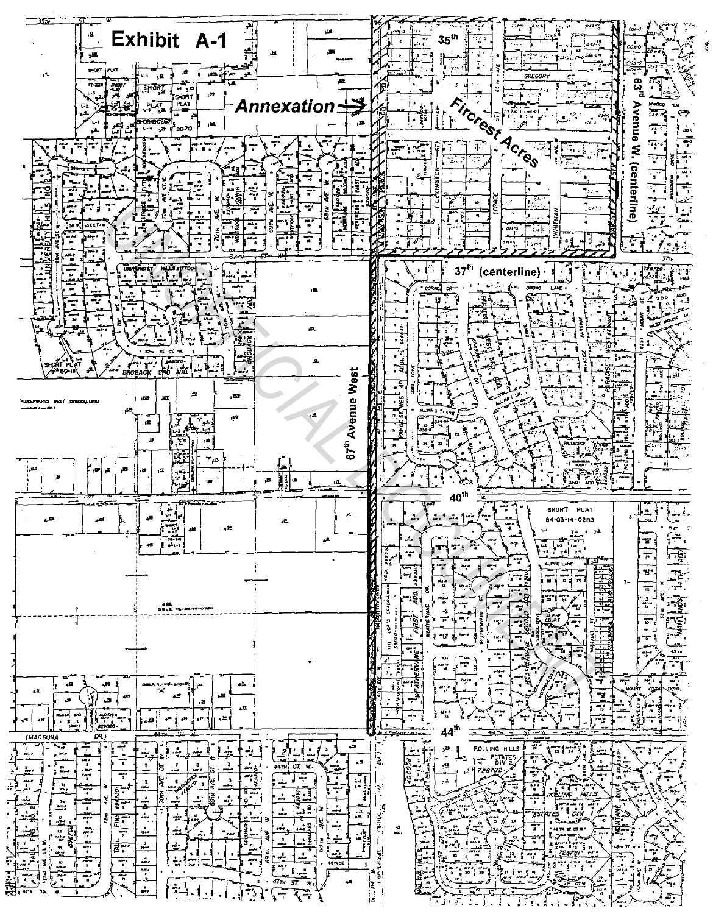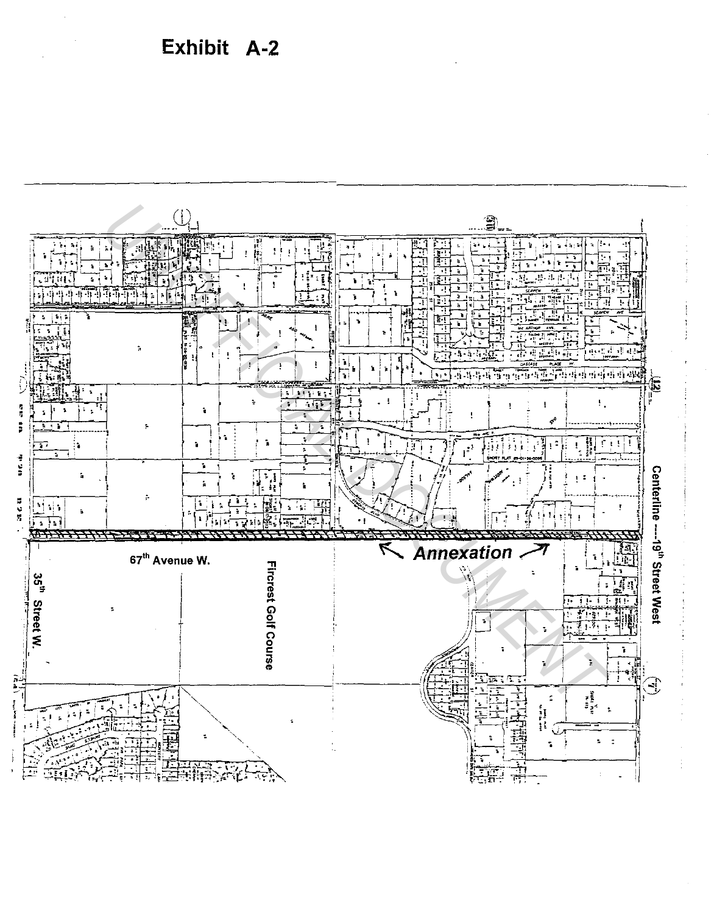